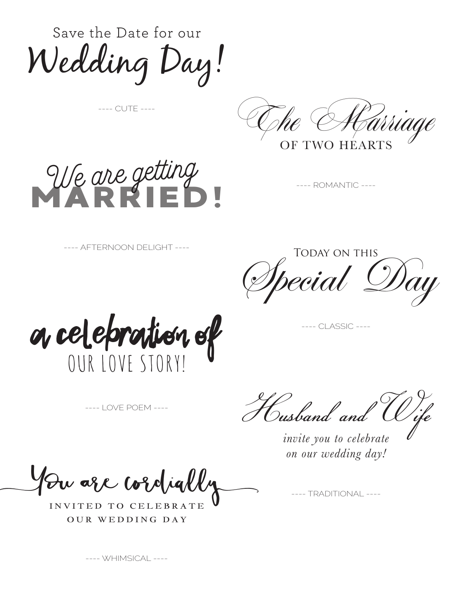Save the Date for our Wedding Day!

---- CUTE ----



OF TWO HEARTS

MARRIED! We are getting

---- ROMANTIC ----

---- AFTERNOON DELIGHT ----

Today on this recial Day

a celepration of

-- CLASSIC ----

---- LOVE POEM ----

Husband and Wife *invite you to celebrate* 

*on our wedding day!*

You are cordially

INVITED TO CELEBRATE OUR WEDDING DAY

---- TRADITIONAL ----

---- WHIMSICAL ----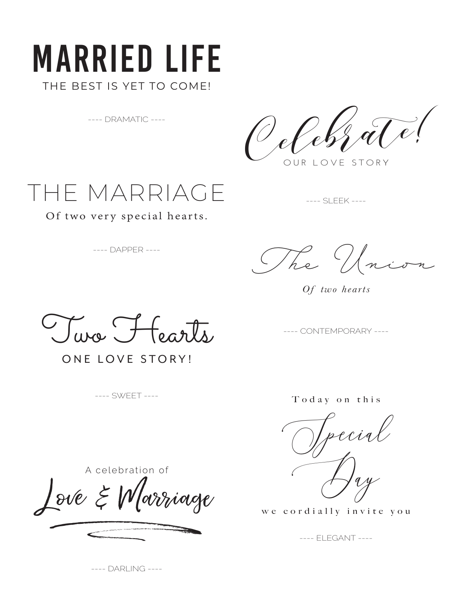## Married Life THE BEST IS YET TO COME!

---- DRAMATIC ----

OUR LOVE STORY  $\frac{1}{2}q\widetilde{I}$ 

---- SLEEK ----



Of two very special hearts.

---- DAPPER ----

 *The Union*

*Of two hearts*

Jura Horste

ONE LOVE STORY!

---- SWEET ----

---- CONTEMPORARY ----

T o d a y o n t h i s

Special Day

we cordially invite you

---- ELEGANT ----

A celebration of  $\int$ Sur 4 1. Constant ove & Marriage